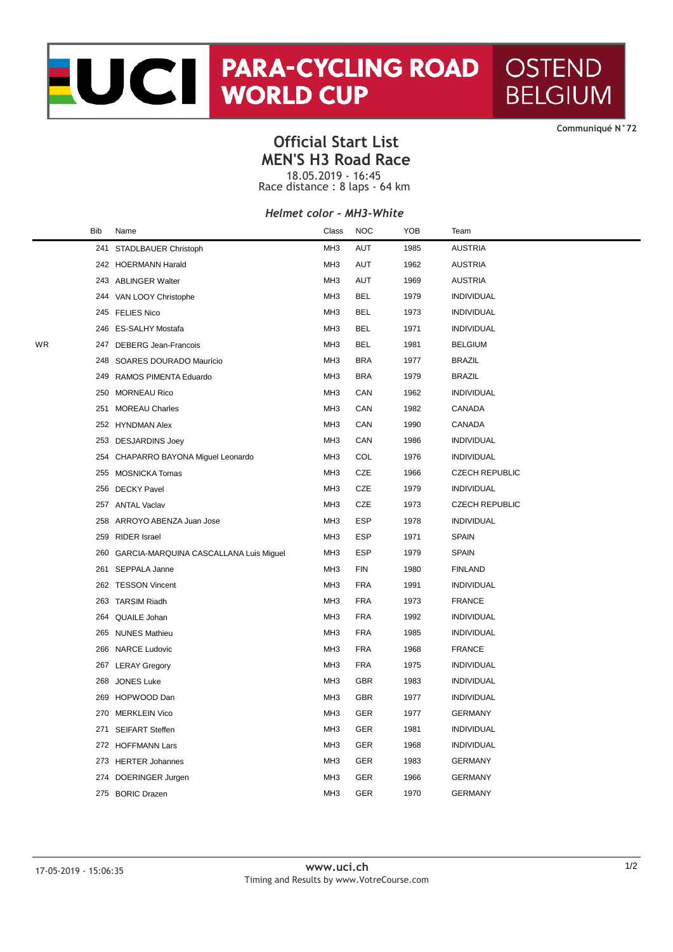# NORTH PARA-CYCLING ROAD **OSTEND BELGIUM**

**CommuniquÈ N°72**

### **Official Start List MEN'S H3 Road Race**

18.05.2019 - 16:45 Race distance : 8 laps - 64 km

#### *Helmet color - MH3-White*

|    | <b>Bib</b> | Name                                   | Class           | <b>NOC</b> | YOB  | Team                  |
|----|------------|----------------------------------------|-----------------|------------|------|-----------------------|
|    | 241        | STADLBAUER Christoph                   | MH <sub>3</sub> | <b>AUT</b> | 1985 | <b>AUSTRIA</b>        |
|    |            | 242 HOERMANN Harald                    | MH <sub>3</sub> | AUT        | 1962 | <b>AUSTRIA</b>        |
|    |            | 243 ABLINGER Walter                    | MH <sub>3</sub> | <b>AUT</b> | 1969 | <b>AUSTRIA</b>        |
|    |            | 244 VAN LOOY Christophe                | MH <sub>3</sub> | <b>BEL</b> | 1979 | <b>INDIVIDUAL</b>     |
|    |            | 245 FELIES Nico                        | MH <sub>3</sub> | <b>BEL</b> | 1973 | <b>INDIVIDUAL</b>     |
|    |            | 246 ES-SALHY Mostafa                   | MH <sub>3</sub> | <b>BEL</b> | 1971 | <b>INDIVIDUAL</b>     |
| WR | 247        | DEBERG Jean-Francois                   | MH <sub>3</sub> | <b>BEL</b> | 1981 | <b>BELGIUM</b>        |
|    | 248        | SOARES DOURADO Maurício                | MH <sub>3</sub> | <b>BRA</b> | 1977 | <b>BRAZIL</b>         |
|    | 249        | RAMOS PIMENTA Eduardo                  | MH <sub>3</sub> | <b>BRA</b> | 1979 | <b>BRAZIL</b>         |
|    | 250        | <b>MORNEAU Rico</b>                    | MH <sub>3</sub> | CAN        | 1962 | <b>INDIVIDUAL</b>     |
|    |            | 251 MOREAU Charles                     | MH <sub>3</sub> | CAN        | 1982 | CANADA                |
|    |            | 252 HYNDMAN Alex                       | MH <sub>3</sub> | CAN        | 1990 | CANADA                |
|    | 253        | <b>DESJARDINS Joey</b>                 | MH <sub>3</sub> | CAN        | 1986 | <b>INDIVIDUAL</b>     |
|    |            | 254 CHAPARRO BAYONA Miguel Leonardo    | MH <sub>3</sub> | COL        | 1976 | <b>INDIVIDUAL</b>     |
|    | 255        | <b>MOSNICKA Tomas</b>                  | MH <sub>3</sub> | CZE        | 1966 | <b>CZECH REPUBLIC</b> |
|    | 256        | <b>DECKY Pavel</b>                     | MH <sub>3</sub> | CZE        | 1979 | <b>INDIVIDUAL</b>     |
|    |            | 257 ANTAL Vaclav                       | MH <sub>3</sub> | CZE        | 1973 | <b>CZECH REPUBLIC</b> |
|    | 258        | ARROYO ABENZA Juan Jose                | MH <sub>3</sub> | <b>ESP</b> | 1978 | <b>INDIVIDUAL</b>     |
|    | 259        | <b>RIDER Israel</b>                    | MH <sub>3</sub> | ESP        | 1971 | <b>SPAIN</b>          |
|    | 260        | GARCIA-MARQUINA CASCALLANA Luis Miguel | MH <sub>3</sub> | <b>ESP</b> | 1979 | <b>SPAIN</b>          |
|    | 261        | SEPPALA Janne                          | MH <sub>3</sub> | <b>FIN</b> | 1980 | <b>FINLAND</b>        |
|    | 262        | <b>TESSON Vincent</b>                  | MH <sub>3</sub> | <b>FRA</b> | 1991 | <b>INDIVIDUAL</b>     |
|    | 263        | <b>TARSIM Riadh</b>                    | MH <sub>3</sub> | <b>FRA</b> | 1973 | <b>FRANCE</b>         |
|    | 264        | QUAILE Johan                           | MH <sub>3</sub> | <b>FRA</b> | 1992 | <b>INDIVIDUAL</b>     |
|    | 265        | <b>NUNES Mathieu</b>                   | MH <sub>3</sub> | <b>FRA</b> | 1985 | <b>INDIVIDUAL</b>     |
|    | 266        | <b>NARCE Ludovic</b>                   | MH <sub>3</sub> | <b>FRA</b> | 1968 | <b>FRANCE</b>         |
|    | 267        | <b>LERAY Gregory</b>                   | MH <sub>3</sub> | <b>FRA</b> | 1975 | <b>INDIVIDUAL</b>     |
|    | 268        | <b>JONES Luke</b>                      | MH <sub>3</sub> | <b>GBR</b> | 1983 | <b>INDIVIDUAL</b>     |
|    | 269        | HOPWOOD Dan                            | MH <sub>3</sub> | <b>GBR</b> | 1977 | <b>INDIVIDUAL</b>     |
|    |            | 270 MERKLEIN Vico                      | MH <sub>3</sub> | <b>GER</b> | 1977 | <b>GERMANY</b>        |
|    | 271        | <b>SEIFART Steffen</b>                 | MH <sub>3</sub> | <b>GER</b> | 1981 | <b>INDIVIDUAL</b>     |
|    |            | 272 HOFFMANN Lars                      | MH <sub>3</sub> | <b>GER</b> | 1968 | <b>INDIVIDUAL</b>     |
|    |            | 273 HERTER Johannes                    | MH <sub>3</sub> | <b>GER</b> | 1983 | <b>GERMANY</b>        |
|    | 274        | DOERINGER Jurgen                       | MH <sub>3</sub> | <b>GER</b> | 1966 | <b>GERMANY</b>        |
|    |            | 275 BORIC Drazen                       | MH <sub>3</sub> | GER        | 1970 | <b>GERMANY</b>        |
|    |            |                                        |                 |            |      |                       |